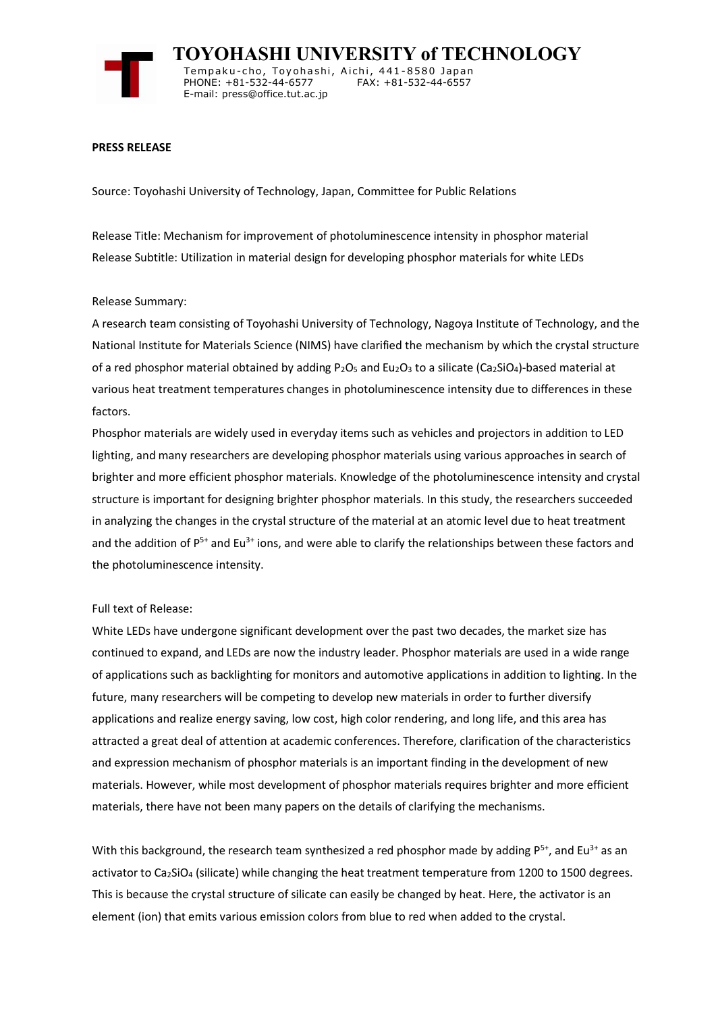

 **TOYOHASHI UNIVERSITY of TECHNOLOGY** Temp a k u-c h o , To y oh a shi , A i ch i , 4 41-858 0 Ja p an PHONE: +81-532-44-6577 E-mail: press@office.tut.ac.jp

### **PRESS RELEASE**

Source: Toyohashi University of Technology, Japan, Committee for Public Relations

Release Title: Mechanism for improvement of photoluminescence intensity in phosphor material Release Subtitle: Utilization in material design for developing phosphor materials for white LEDs

### Release Summary:

A research team consisting of Toyohashi University of Technology, Nagoya Institute of Technology, and the National Institute for Materials Science (NIMS) have clarified the mechanism by which the crystal structure of a red phosphor material obtained by adding  $P_2O_5$  and Eu<sub>2</sub>O<sub>3</sub> to a silicate (Ca<sub>2</sub>SiO<sub>4</sub>)-based material at various heat treatment temperatures changes in photoluminescence intensity due to differences in these factors.

Phosphor materials are widely used in everyday items such as vehicles and projectors in addition to LED lighting, and many researchers are developing phosphor materials using various approaches in search of brighter and more efficient phosphor materials. Knowledge of the photoluminescence intensity and crystal structure is important for designing brighter phosphor materials. In this study, the researchers succeeded in analyzing the changes in the crystal structure of the material at an atomic level due to heat treatment and the addition of  $P^{5+}$  and Eu<sup>3+</sup> ions, and were able to clarify the relationships between these factors and the photoluminescence intensity.

#### Full text of Release:

White LEDs have undergone significant development over the past two decades, the market size has continued to expand, and LEDs are now the industry leader. Phosphor materials are used in a wide range of applications such as backlighting for monitors and automotive applications in addition to lighting. In the future, many researchers will be competing to develop new materials in order to further diversify applications and realize energy saving, low cost, high color rendering, and long life, and this area has attracted a great deal of attention at academic conferences. Therefore, clarification of the characteristics and expression mechanism of phosphor materials is an important finding in the development of new materials. However, while most development of phosphor materials requires brighter and more efficient materials, there have not been many papers on the details of clarifying the mechanisms.

With this background, the research team synthesized a red phosphor made by adding  $P^{5+}$ , and Eu<sup>3+</sup> as an activator to Ca<sub>2</sub>SiO<sub>4</sub> (silicate) while changing the heat treatment temperature from 1200 to 1500 degrees. This is because the crystal structure of silicate can easily be changed by heat. Here, the activator is an element (ion) that emits various emission colors from blue to red when added to the crystal.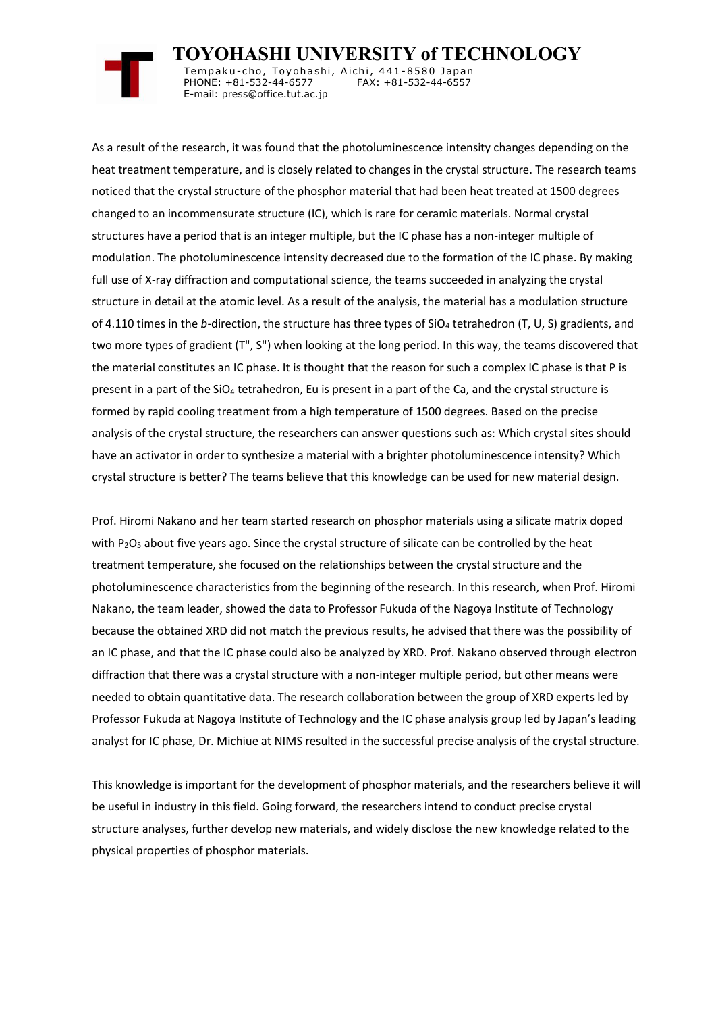

 **TOYOHASHI UNIVERSITY of TECHNOLOGY** Tempaku-cho, Toyohashi, Aichi, 441-8580 Japan<br>PHONE: +81-532-44-6577 FAX: +81-532-44-6557 PHONE: +81-532-44-6577 E-mail: press@office.tut.ac.jp

As a result of the research, it was found that the photoluminescence intensity changes depending on the heat treatment temperature, and is closely related to changes in the crystal structure. The research teams noticed that the crystal structure of the phosphor material that had been heat treated at 1500 degrees changed to an incommensurate structure (IC), which is rare for ceramic materials. Normal crystal structures have a period that is an integer multiple, but the IC phase has a non-integer multiple of modulation. The photoluminescence intensity decreased due to the formation of the IC phase. By making full use of X-ray diffraction and computational science, the teams succeeded in analyzing the crystal structure in detail at the atomic level. As a result of the analysis, the material has a modulation structure of 4.110 times in the *b*-direction, the structure has three types of  $SiO<sub>4</sub>$  tetrahedron (T, U, S) gradients, and two more types of gradient (T", S") when looking at the long period. In this way, the teams discovered that the material constitutes an IC phase. It is thought that the reason for such a complex IC phase is that P is present in a part of the SiO<sub>4</sub> tetrahedron, Eu is present in a part of the Ca, and the crystal structure is formed by rapid cooling treatment from a high temperature of 1500 degrees. Based on the precise analysis of the crystal structure, the researchers can answer questions such as: Which crystal sites should have an activator in order to synthesize a material with a brighter photoluminescence intensity? Which crystal structure is better? The teams believe that this knowledge can be used for new material design.

Prof. Hiromi Nakano and her team started research on phosphor materials using a silicate matrix doped with  $P_2O_5$  about five years ago. Since the crystal structure of silicate can be controlled by the heat treatment temperature, she focused on the relationships between the crystal structure and the photoluminescence characteristics from the beginning of the research. In this research, when Prof. Hiromi Nakano, the team leader, showed the data to Professor Fukuda of the Nagoya Institute of Technology because the obtained XRD did not match the previous results, he advised that there was the possibility of an IC phase, and that the IC phase could also be analyzed by XRD. Prof. Nakano observed through electron diffraction that there was a crystal structure with a non-integer multiple period, but other means were needed to obtain quantitative data. The research collaboration between the group of XRD experts led by Professor Fukuda at Nagoya Institute of Technology and the IC phase analysis group led by Japan's leading analyst for IC phase, Dr. Michiue at NIMS resulted in the successful precise analysis of the crystal structure.

This knowledge is important for the development of phosphor materials, and the researchers believe it will be useful in industry in this field. Going forward, the researchers intend to conduct precise crystal structure analyses, further develop new materials, and widely disclose the new knowledge related to the physical properties of phosphor materials.